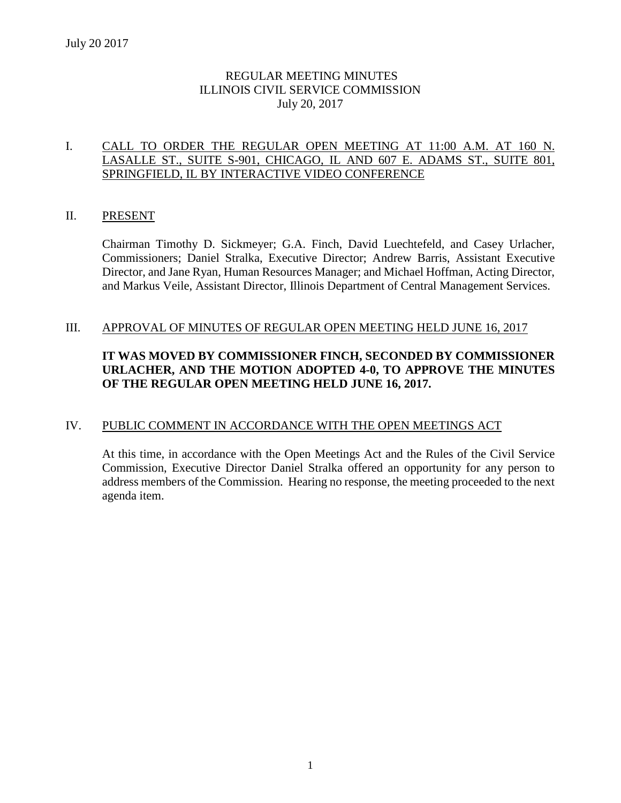# REGULAR MEETING MINUTES ILLINOIS CIVIL SERVICE COMMISSION July 20, 2017

# I. CALL TO ORDER THE REGULAR OPEN MEETING AT 11:00 A.M. AT 160 N. LASALLE ST., SUITE S-901, CHICAGO, IL AND 607 E. ADAMS ST., SUITE 801, SPRINGFIELD, IL BY INTERACTIVE VIDEO CONFERENCE

# II. PRESENT

Chairman Timothy D. Sickmeyer; G.A. Finch, David Luechtefeld, and Casey Urlacher, Commissioners; Daniel Stralka, Executive Director; Andrew Barris, Assistant Executive Director, and Jane Ryan, Human Resources Manager; and Michael Hoffman, Acting Director, and Markus Veile, Assistant Director, Illinois Department of Central Management Services.

# III. APPROVAL OF MINUTES OF REGULAR OPEN MEETING HELD JUNE 16, 2017

# **IT WAS MOVED BY COMMISSIONER FINCH, SECONDED BY COMMISSIONER URLACHER, AND THE MOTION ADOPTED 4-0, TO APPROVE THE MINUTES OF THE REGULAR OPEN MEETING HELD JUNE 16, 2017.**

# IV. PUBLIC COMMENT IN ACCORDANCE WITH THE OPEN MEETINGS ACT

At this time, in accordance with the Open Meetings Act and the Rules of the Civil Service Commission, Executive Director Daniel Stralka offered an opportunity for any person to address members of the Commission. Hearing no response, the meeting proceeded to the next agenda item.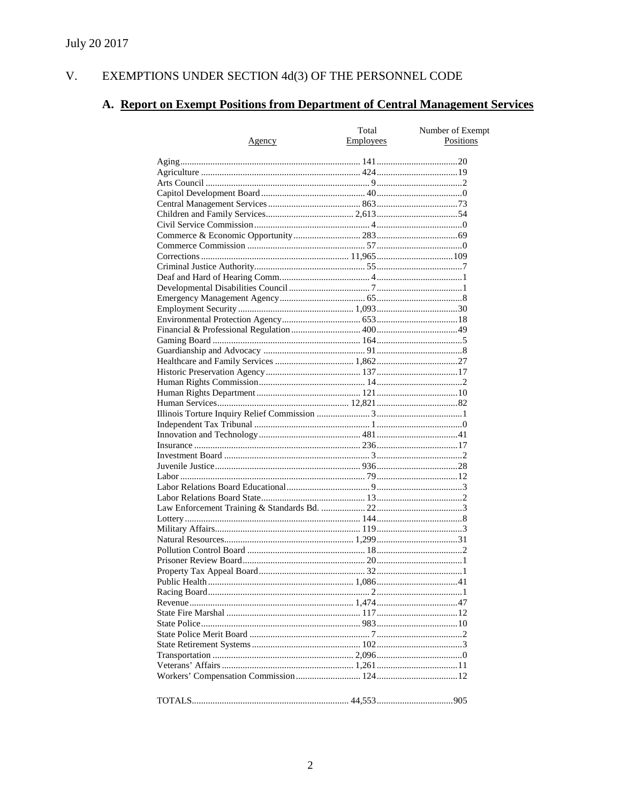#### $V_{\cdot}$ EXEMPTIONS UNDER SECTION  $4d(3)$  OF THE PERSONNEL CODE

# A. Report on Exempt Positions from Department of Central Management Services

|               | Total            | Number of Exempt |
|---------------|------------------|------------------|
| <u>Agency</u> | <b>Employees</b> | Positions        |
|               |                  |                  |
|               |                  |                  |
|               |                  |                  |
|               |                  |                  |
|               |                  |                  |
|               |                  |                  |
|               |                  |                  |
|               |                  |                  |
|               |                  |                  |
|               |                  |                  |
|               |                  |                  |
|               |                  |                  |
|               |                  |                  |
|               |                  |                  |
|               |                  |                  |
|               |                  |                  |
|               |                  |                  |
|               |                  |                  |
|               |                  |                  |
|               |                  |                  |
|               |                  |                  |
|               |                  |                  |
|               |                  |                  |
|               |                  |                  |
|               |                  |                  |
|               |                  |                  |
|               |                  |                  |
|               |                  |                  |
|               |                  |                  |
|               |                  |                  |
|               |                  |                  |
|               |                  |                  |
|               |                  |                  |
|               |                  |                  |
|               |                  |                  |
|               |                  |                  |
|               |                  |                  |
|               |                  |                  |
|               |                  |                  |
|               |                  |                  |
|               |                  |                  |
|               |                  |                  |
|               |                  |                  |
|               |                  |                  |
|               |                  |                  |
|               |                  |                  |
|               |                  |                  |
|               |                  |                  |
|               |                  |                  |
|               |                  |                  |
|               |                  |                  |
|               |                  |                  |
|               |                  |                  |
|               |                  |                  |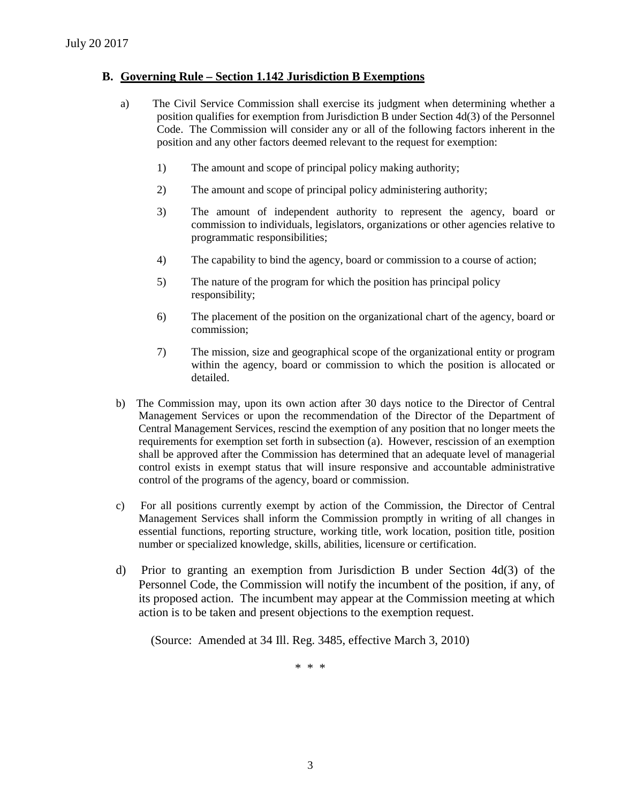# **B. Governing Rule – Section 1.142 Jurisdiction B Exemptions**

- a) The Civil Service Commission shall exercise its judgment when determining whether a position qualifies for exemption from Jurisdiction B under Section 4d(3) of the Personnel Code. The Commission will consider any or all of the following factors inherent in the position and any other factors deemed relevant to the request for exemption:
	- 1) The amount and scope of principal policy making authority;
	- 2) The amount and scope of principal policy administering authority;
	- 3) The amount of independent authority to represent the agency, board or commission to individuals, legislators, organizations or other agencies relative to programmatic responsibilities;
	- 4) The capability to bind the agency, board or commission to a course of action;
	- 5) The nature of the program for which the position has principal policy responsibility;
	- 6) The placement of the position on the organizational chart of the agency, board or commission;
	- 7) The mission, size and geographical scope of the organizational entity or program within the agency, board or commission to which the position is allocated or detailed.
- b) The Commission may, upon its own action after 30 days notice to the Director of Central Management Services or upon the recommendation of the Director of the Department of Central Management Services, rescind the exemption of any position that no longer meets the requirements for exemption set forth in subsection (a). However, rescission of an exemption shall be approved after the Commission has determined that an adequate level of managerial control exists in exempt status that will insure responsive and accountable administrative control of the programs of the agency, board or commission.
- c) For all positions currently exempt by action of the Commission, the Director of Central Management Services shall inform the Commission promptly in writing of all changes in essential functions, reporting structure, working title, work location, position title, position number or specialized knowledge, skills, abilities, licensure or certification.
- d) Prior to granting an exemption from Jurisdiction B under Section 4d(3) of the Personnel Code, the Commission will notify the incumbent of the position, if any, of its proposed action. The incumbent may appear at the Commission meeting at which action is to be taken and present objections to the exemption request.

(Source: Amended at 34 Ill. Reg. 3485, effective March 3, 2010)

\* \* \*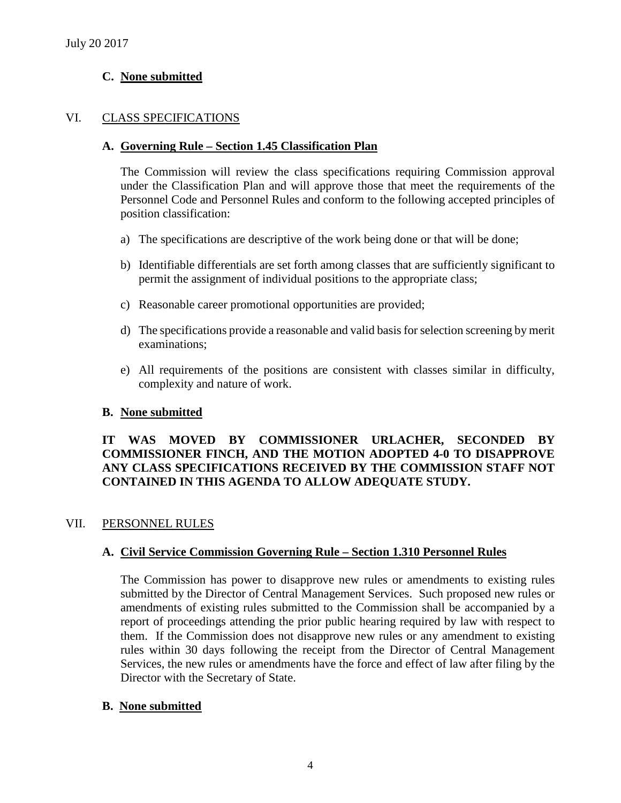# **C. None submitted**

# VI. CLASS SPECIFICATIONS

### **A. Governing Rule – Section 1.45 Classification Plan**

The Commission will review the class specifications requiring Commission approval under the Classification Plan and will approve those that meet the requirements of the Personnel Code and Personnel Rules and conform to the following accepted principles of position classification:

- a) The specifications are descriptive of the work being done or that will be done;
- b) Identifiable differentials are set forth among classes that are sufficiently significant to permit the assignment of individual positions to the appropriate class;
- c) Reasonable career promotional opportunities are provided;
- d) The specifications provide a reasonable and valid basis for selection screening by merit examinations;
- e) All requirements of the positions are consistent with classes similar in difficulty, complexity and nature of work.

# **B. None submitted**

# **IT WAS MOVED BY COMMISSIONER URLACHER, SECONDED BY COMMISSIONER FINCH, AND THE MOTION ADOPTED 4-0 TO DISAPPROVE ANY CLASS SPECIFICATIONS RECEIVED BY THE COMMISSION STAFF NOT CONTAINED IN THIS AGENDA TO ALLOW ADEQUATE STUDY.**

# VII. PERSONNEL RULES

# **A. Civil Service Commission Governing Rule – Section 1.310 Personnel Rules**

The Commission has power to disapprove new rules or amendments to existing rules submitted by the Director of Central Management Services. Such proposed new rules or amendments of existing rules submitted to the Commission shall be accompanied by a report of proceedings attending the prior public hearing required by law with respect to them. If the Commission does not disapprove new rules or any amendment to existing rules within 30 days following the receipt from the Director of Central Management Services, the new rules or amendments have the force and effect of law after filing by the Director with the Secretary of State.

#### **B. None submitted**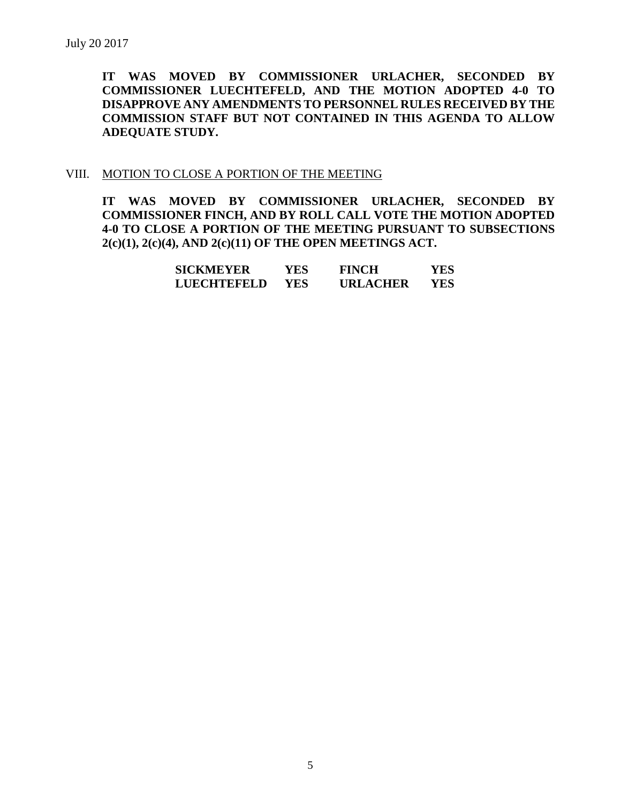**IT WAS MOVED BY COMMISSIONER URLACHER, SECONDED BY COMMISSIONER LUECHTEFELD, AND THE MOTION ADOPTED 4-0 TO DISAPPROVE ANY AMENDMENTS TO PERSONNEL RULES RECEIVED BY THE COMMISSION STAFF BUT NOT CONTAINED IN THIS AGENDA TO ALLOW ADEQUATE STUDY.** 

### VIII. MOTION TO CLOSE A PORTION OF THE MEETING

**IT WAS MOVED BY COMMISSIONER URLACHER, SECONDED BY COMMISSIONER FINCH, AND BY ROLL CALL VOTE THE MOTION ADOPTED 4-0 TO CLOSE A PORTION OF THE MEETING PURSUANT TO SUBSECTIONS 2(c)(1), 2(c)(4), AND 2(c)(11) OF THE OPEN MEETINGS ACT.**

| SICKMEYER   | YES  | <b>FINCH</b>    | YES |
|-------------|------|-----------------|-----|
| LUECHTEFELD | YES. | <b>URLACHER</b> | YES |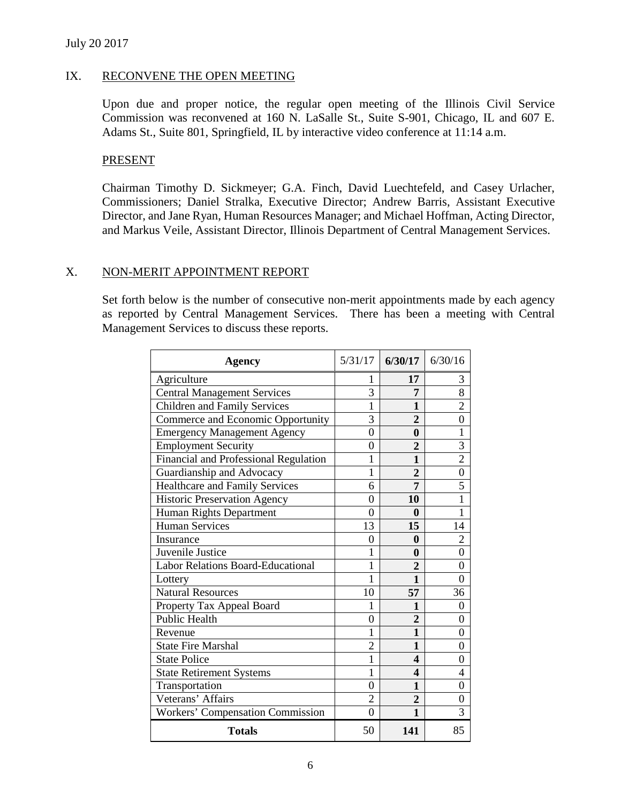# IX. RECONVENE THE OPEN MEETING

Upon due and proper notice, the regular open meeting of the Illinois Civil Service Commission was reconvened at 160 N. LaSalle St., Suite S-901, Chicago, IL and 607 E. Adams St., Suite 801, Springfield, IL by interactive video conference at 11:14 a.m.

# PRESENT

Chairman Timothy D. Sickmeyer; G.A. Finch, David Luechtefeld, and Casey Urlacher, Commissioners; Daniel Stralka, Executive Director; Andrew Barris, Assistant Executive Director, and Jane Ryan, Human Resources Manager; and Michael Hoffman, Acting Director, and Markus Veile, Assistant Director, Illinois Department of Central Management Services.

# X. NON-MERIT APPOINTMENT REPORT

Set forth below is the number of consecutive non-merit appointments made by each agency as reported by Central Management Services. There has been a meeting with Central Management Services to discuss these reports.

| Agency                                   | 5/31/17        | 6/30/17               | 6/30/16        |
|------------------------------------------|----------------|-----------------------|----------------|
| Agriculture                              | 1              | 17                    | 3              |
| <b>Central Management Services</b>       | 3              | 7                     | 8              |
| <b>Children and Family Services</b>      | 1              | 1                     | $\overline{2}$ |
| Commerce and Economic Opportunity        | 3              | $\overline{2}$        | 0              |
| <b>Emergency Management Agency</b>       | $\overline{0}$ | 0                     | 1              |
| <b>Employment Security</b>               | 0              | $\overline{2}$        | 3              |
| Financial and Professional Regulation    | 1              | 1                     | $\overline{2}$ |
| Guardianship and Advocacy                | 1              | $\overline{2}$        | 0              |
| <b>Healthcare and Family Services</b>    | 6              | 7                     | 5              |
| <b>Historic Preservation Agency</b>      | $\overline{0}$ | 10                    | 1              |
| Human Rights Department                  | 0              | 0                     | 1              |
| <b>Human Services</b>                    | 13             | 15                    | 14             |
| Insurance                                | 0              | 0                     | 2              |
| Juvenile Justice                         | 1              | $\mathbf{0}$          | 0              |
| <b>Labor Relations Board-Educational</b> | 1              | 2                     | 0              |
| Lottery                                  | 1              | 1                     | 0              |
| <b>Natural Resources</b>                 | 10             | 57                    | 36             |
| Property Tax Appeal Board                | 1              | 1                     | $\Omega$       |
| Public Health                            | 0              | $\overline{2}$        | 0              |
| Revenue                                  | 1              | 1                     | 0              |
| <b>State Fire Marshal</b>                | $\overline{2}$ | 1                     | 0              |
| <b>State Police</b>                      | 1              | $\boldsymbol{\Delta}$ | 0              |
| <b>State Retirement Systems</b>          | 1              | $\boldsymbol{\Delta}$ | 4              |
| Transportation                           | 0              | 1                     | 0              |
| Veterans' Affairs                        | $\overline{2}$ | $\overline{2}$        | 0              |
| <b>Workers' Compensation Commission</b>  | $\Omega$       | 1                     | 3              |
| <b>Totals</b>                            | 50             | 141                   | 85             |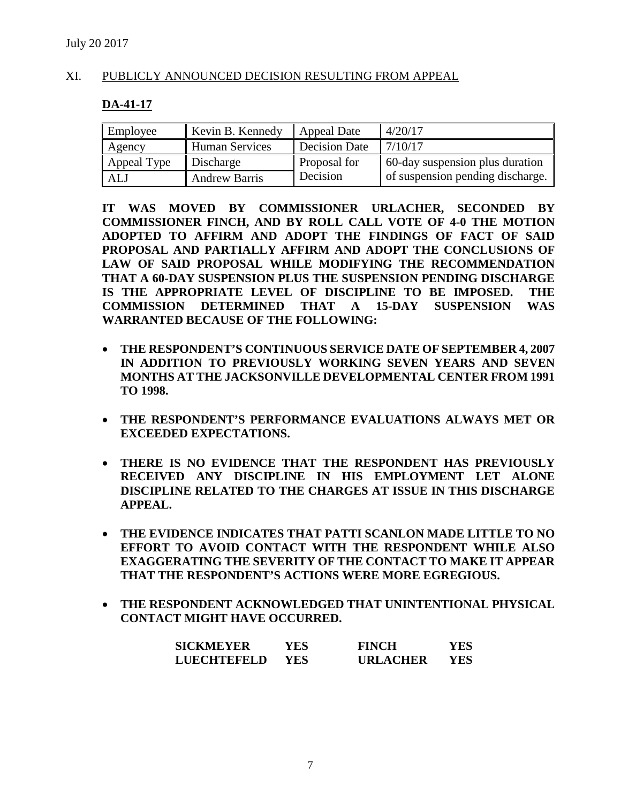# XI. PUBLICLY ANNOUNCED DECISION RESULTING FROM APPEAL

### **DA-41-17**

| Employee    | Kevin B. Kennedy      | Appeal Date   | 4/20/17                          |
|-------------|-----------------------|---------------|----------------------------------|
| Agency      | <b>Human Services</b> | Decision Date | 7/10/17                          |
| Appeal Type | Discharge             | Proposal for  | 60-day suspension plus duration  |
| ALJ         | <b>Andrew Barris</b>  | Decision      | of suspension pending discharge. |

**IT WAS MOVED BY COMMISSIONER URLACHER, SECONDED BY COMMISSIONER FINCH, AND BY ROLL CALL VOTE OF 4-0 THE MOTION ADOPTED TO AFFIRM AND ADOPT THE FINDINGS OF FACT OF SAID PROPOSAL AND PARTIALLY AFFIRM AND ADOPT THE CONCLUSIONS OF LAW OF SAID PROPOSAL WHILE MODIFYING THE RECOMMENDATION THAT A 60-DAY SUSPENSION PLUS THE SUSPENSION PENDING DISCHARGE IS THE APPROPRIATE LEVEL OF DISCIPLINE TO BE IMPOSED. THE COMMISSION DETERMINED THAT A 15-DAY SUSPENSION WAS WARRANTED BECAUSE OF THE FOLLOWING:**

- **THE RESPONDENT'S CONTINUOUS SERVICE DATE OF SEPTEMBER 4, 2007 IN ADDITION TO PREVIOUSLY WORKING SEVEN YEARS AND SEVEN MONTHS AT THE JACKSONVILLE DEVELOPMENTAL CENTER FROM 1991 TO 1998.**
- **THE RESPONDENT'S PERFORMANCE EVALUATIONS ALWAYS MET OR EXCEEDED EXPECTATIONS.**
- **THERE IS NO EVIDENCE THAT THE RESPONDENT HAS PREVIOUSLY RECEIVED ANY DISCIPLINE IN HIS EMPLOYMENT LET ALONE DISCIPLINE RELATED TO THE CHARGES AT ISSUE IN THIS DISCHARGE APPEAL.**
- **THE EVIDENCE INDICATES THAT PATTI SCANLON MADE LITTLE TO NO EFFORT TO AVOID CONTACT WITH THE RESPONDENT WHILE ALSO EXAGGERATING THE SEVERITY OF THE CONTACT TO MAKE IT APPEAR THAT THE RESPONDENT'S ACTIONS WERE MORE EGREGIOUS.**
- **THE RESPONDENT ACKNOWLEDGED THAT UNINTENTIONAL PHYSICAL CONTACT MIGHT HAVE OCCURRED.**

| <b>SICKMEYER</b>   | YES.       | <b>FINCH</b>    | YES |
|--------------------|------------|-----------------|-----|
| <b>LUECHTEFELD</b> | <b>YES</b> | <b>URLACHER</b> | YES |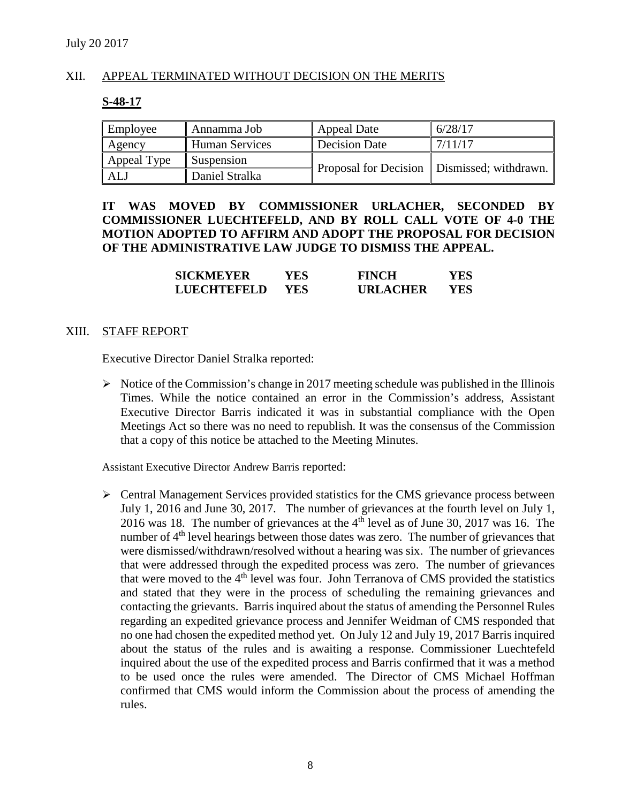# XII. APPEAL TERMINATED WITHOUT DECISION ON THE MERITS

### **S-48-17**

| Employee    | Annamma Job           | <b>Appeal Date</b> | 6/28/17                                       |
|-------------|-----------------------|--------------------|-----------------------------------------------|
| Agency      | <b>Human Services</b> | Decision Date      | 7/11/17                                       |
| Appeal Type | Suspension            |                    | Proposal for Decision   Dismissed; withdrawn. |
| ALJ         | Daniel Stralka        |                    |                                               |

# **IT WAS MOVED BY COMMISSIONER URLACHER, SECONDED BY COMMISSIONER LUECHTEFELD, AND BY ROLL CALL VOTE OF 4-0 THE MOTION ADOPTED TO AFFIRM AND ADOPT THE PROPOSAL FOR DECISION OF THE ADMINISTRATIVE LAW JUDGE TO DISMISS THE APPEAL.**

| <b>SICKMEYER</b>   | YES. | <b>FINCH</b>    | YES. |
|--------------------|------|-----------------|------|
| <b>LUECHTEFELD</b> | YES. | <b>URLACHER</b> | YES  |

#### XIII. STAFF REPORT

Executive Director Daniel Stralka reported:

 $\triangleright$  Notice of the Commission's change in 2017 meeting schedule was published in the Illinois Times. While the notice contained an error in the Commission's address, Assistant Executive Director Barris indicated it was in substantial compliance with the Open Meetings Act so there was no need to republish. It was the consensus of the Commission that a copy of this notice be attached to the Meeting Minutes.

Assistant Executive Director Andrew Barris reported:

 Central Management Services provided statistics for the CMS grievance process between July 1, 2016 and June 30, 2017. The number of grievances at the fourth level on July 1, 2016 was 18. The number of grievances at the 4th level as of June 30, 2017 was 16. The number of 4<sup>th</sup> level hearings between those dates was zero. The number of grievances that were dismissed/withdrawn/resolved without a hearing was six. The number of grievances that were addressed through the expedited process was zero. The number of grievances that were moved to the 4<sup>th</sup> level was four. John Terranova of CMS provided the statistics and stated that they were in the process of scheduling the remaining grievances and contacting the grievants. Barris inquired about the status of amending the Personnel Rules regarding an expedited grievance process and Jennifer Weidman of CMS responded that no one had chosen the expedited method yet. On July 12 and July 19, 2017 Barris inquired about the status of the rules and is awaiting a response. Commissioner Luechtefeld inquired about the use of the expedited process and Barris confirmed that it was a method to be used once the rules were amended. The Director of CMS Michael Hoffman confirmed that CMS would inform the Commission about the process of amending the rules.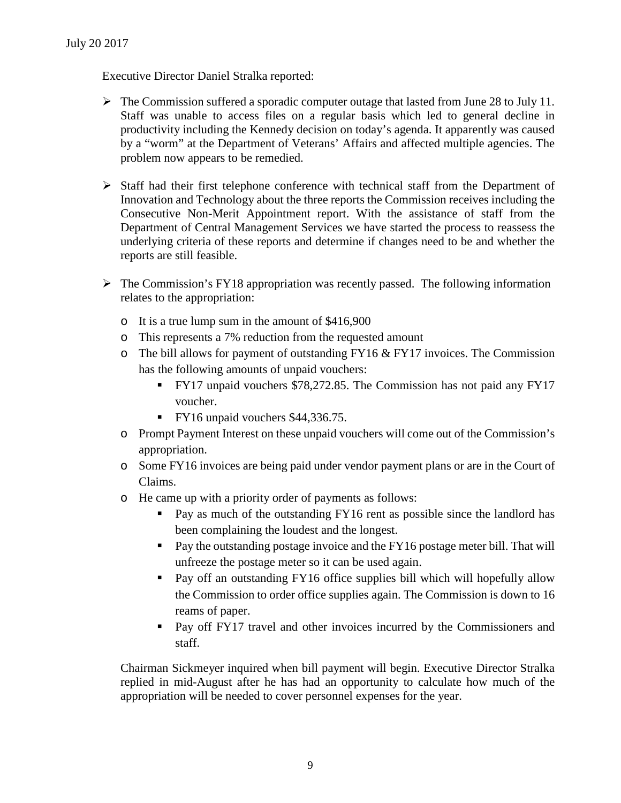Executive Director Daniel Stralka reported:

- $\triangleright$  The Commission suffered a sporadic computer outage that lasted from June 28 to July 11. Staff was unable to access files on a regular basis which led to general decline in productivity including the Kennedy decision on today's agenda. It apparently was caused by a "worm" at the Department of Veterans' Affairs and affected multiple agencies. The problem now appears to be remedied.
- $\triangleright$  Staff had their first telephone conference with technical staff from the Department of Innovation and Technology about the three reports the Commission receives including the Consecutive Non-Merit Appointment report. With the assistance of staff from the Department of Central Management Services we have started the process to reassess the underlying criteria of these reports and determine if changes need to be and whether the reports are still feasible.
- $\triangleright$  The Commission's FY18 appropriation was recently passed. The following information relates to the appropriation:
	- o It is a true lump sum in the amount of \$416,900
	- o This represents a 7% reduction from the requested amount
	- $\circ$  The bill allows for payment of outstanding FY16 & FY17 invoices. The Commission has the following amounts of unpaid vouchers:
		- FY17 unpaid vouchers \$78,272.85. The Commission has not paid any FY17 voucher.
		- FY16 unpaid vouchers \$44,336.75.
	- o Prompt Payment Interest on these unpaid vouchers will come out of the Commission's appropriation.
	- o Some FY16 invoices are being paid under vendor payment plans or are in the Court of Claims.
	- o He came up with a priority order of payments as follows:
		- **Pay as much of the outstanding FY16 rent as possible since the landlord has** been complaining the loudest and the longest.
		- Pay the outstanding postage invoice and the FY16 postage meter bill. That will unfreeze the postage meter so it can be used again.
		- Pay off an outstanding FY16 office supplies bill which will hopefully allow the Commission to order office supplies again. The Commission is down to 16 reams of paper.
		- **Pay off FY17 travel and other invoices incurred by the Commissioners and** staff.

Chairman Sickmeyer inquired when bill payment will begin. Executive Director Stralka replied in mid-August after he has had an opportunity to calculate how much of the appropriation will be needed to cover personnel expenses for the year.